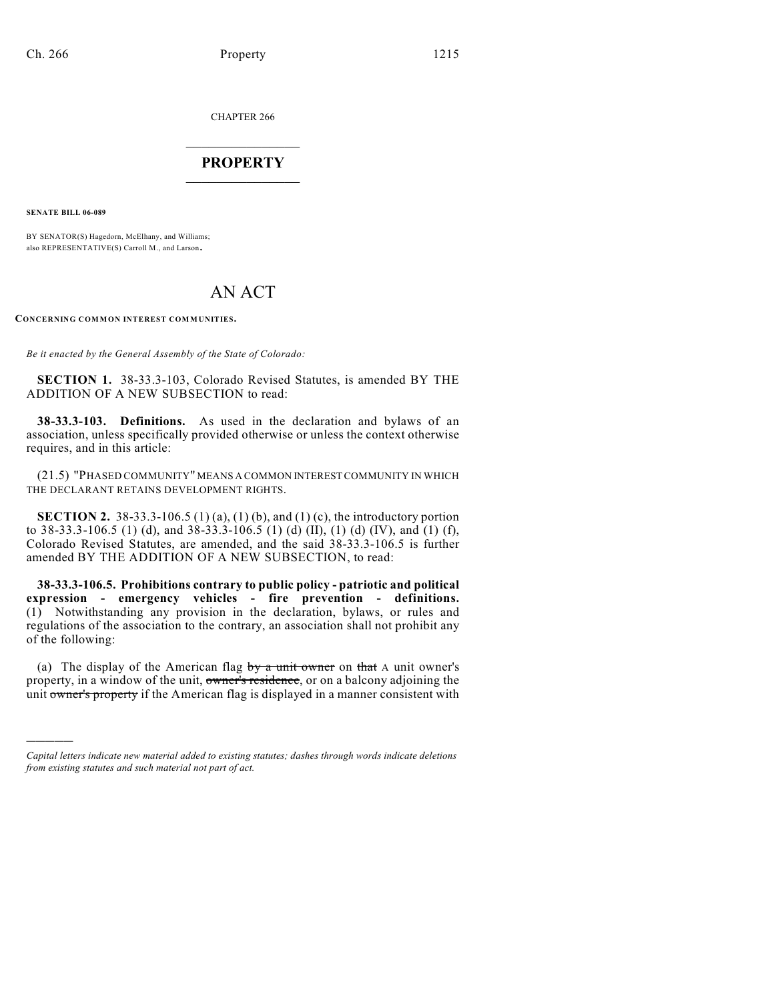CHAPTER 266

## $\overline{\phantom{a}}$  . The set of the set of the set of the set of the set of the set of the set of the set of the set of the set of the set of the set of the set of the set of the set of the set of the set of the set of the set o **PROPERTY**  $\_$   $\_$   $\_$   $\_$   $\_$   $\_$   $\_$   $\_$   $\_$

**SENATE BILL 06-089**

)))))

BY SENATOR(S) Hagedorn, McElhany, and Williams; also REPRESENTATIVE(S) Carroll M., and Larson.

# AN ACT

**CONCERNING COMMON INTEREST COMMUNITIES.**

*Be it enacted by the General Assembly of the State of Colorado:*

**SECTION 1.** 38-33.3-103, Colorado Revised Statutes, is amended BY THE ADDITION OF A NEW SUBSECTION to read:

**38-33.3-103. Definitions.** As used in the declaration and bylaws of an association, unless specifically provided otherwise or unless the context otherwise requires, and in this article:

(21.5) "PHASED COMMUNITY" MEANS A COMMON INTEREST COMMUNITY IN WHICH THE DECLARANT RETAINS DEVELOPMENT RIGHTS.

**SECTION 2.** 38-33.3-106.5 (1) (a), (1) (b), and (1) (c), the introductory portion to 38-33.3-106.5 (1) (d), and 38-33.3-106.5 (1) (d) (II), (1) (d) (IV), and (1) (f), Colorado Revised Statutes, are amended, and the said 38-33.3-106.5 is further amended BY THE ADDITION OF A NEW SUBSECTION, to read:

**38-33.3-106.5. Prohibitions contrary to public policy - patriotic and political expression - emergency vehicles - fire prevention - definitions.** (1) Notwithstanding any provision in the declaration, bylaws, or rules and regulations of the association to the contrary, an association shall not prohibit any of the following:

(a) The display of the American flag  $by$  a unit owner on that A unit owner's property, in a window of the unit, owner's residence, or on a balcony adjoining the unit owner's property if the American flag is displayed in a manner consistent with

*Capital letters indicate new material added to existing statutes; dashes through words indicate deletions from existing statutes and such material not part of act.*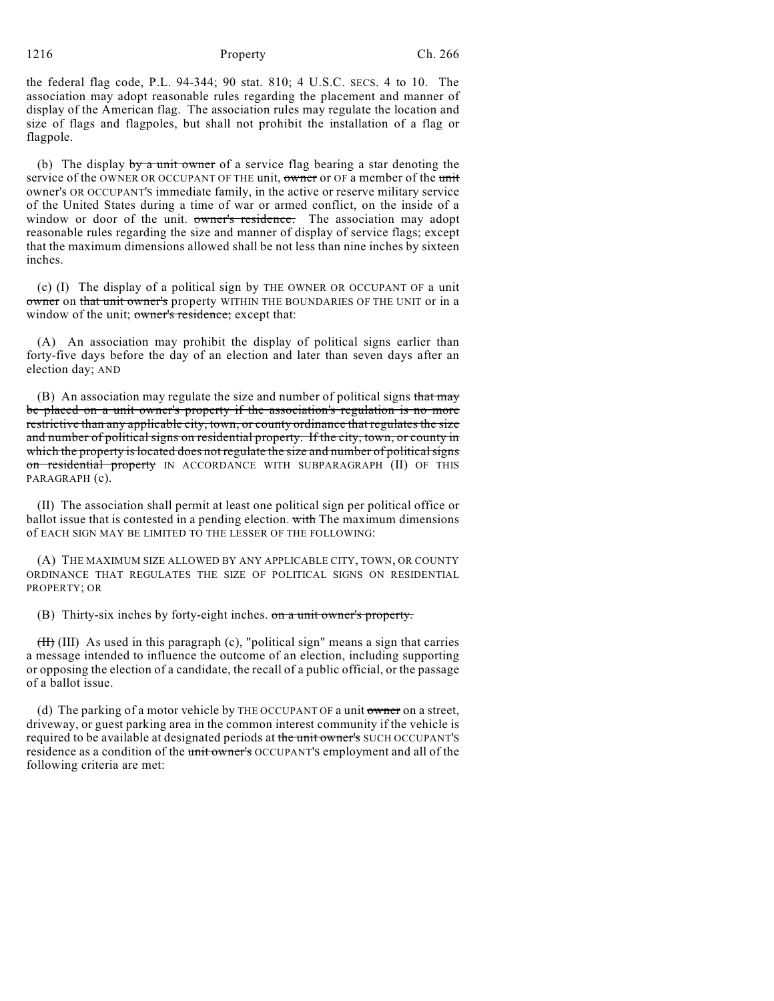the federal flag code, P.L. 94-344; 90 stat. 810; 4 U.S.C. SECS. 4 to 10. The association may adopt reasonable rules regarding the placement and manner of display of the American flag. The association rules may regulate the location and size of flags and flagpoles, but shall not prohibit the installation of a flag or flagpole.

(b) The display  $\frac{b}{x}$  a unit owner of a service flag bearing a star denoting the service of the OWNER OR OCCUPANT OF THE unit, owner or OF a member of the unit owner's OR OCCUPANT'S immediate family, in the active or reserve military service of the United States during a time of war or armed conflict, on the inside of a window or door of the unit. owner's residence. The association may adopt reasonable rules regarding the size and manner of display of service flags; except that the maximum dimensions allowed shall be not less than nine inches by sixteen inches.

(c) (I) The display of a political sign by THE OWNER OR OCCUPANT OF a unit owner on that unit owner's property WITHIN THE BOUNDARIES OF THE UNIT or in a window of the unit; owner's residence; except that:

(A) An association may prohibit the display of political signs earlier than forty-five days before the day of an election and later than seven days after an election day; AND

(B) An association may regulate the size and number of political signs that may be placed on a unit owner's property if the association's regulation is no more restrictive than any applicable city, town, or county ordinance that regulates the size and number of political signs on residential property. If the city, town, or county in which the property is located does not regulate the size and number of political signs on residential property IN ACCORDANCE WITH SUBPARAGRAPH (II) OF THIS PARAGRAPH (c).

(II) The association shall permit at least one political sign per political office or ballot issue that is contested in a pending election. with The maximum dimensions of EACH SIGN MAY BE LIMITED TO THE LESSER OF THE FOLLOWING:

(A) THE MAXIMUM SIZE ALLOWED BY ANY APPLICABLE CITY, TOWN, OR COUNTY ORDINANCE THAT REGULATES THE SIZE OF POLITICAL SIGNS ON RESIDENTIAL PROPERTY; OR

(B) Thirty-six inches by forty-eight inches. on a unit owner's property.

(II) (III) As used in this paragraph (c), "political sign" means a sign that carries a message intended to influence the outcome of an election, including supporting or opposing the election of a candidate, the recall of a public official, or the passage of a ballot issue.

(d) The parking of a motor vehicle by THE OCCUPANT OF a unit owner on a street, driveway, or guest parking area in the common interest community if the vehicle is required to be available at designated periods at the unit owner's SUCH OCCUPANT'S residence as a condition of the unit owner's OCCUPANT'S employment and all of the following criteria are met: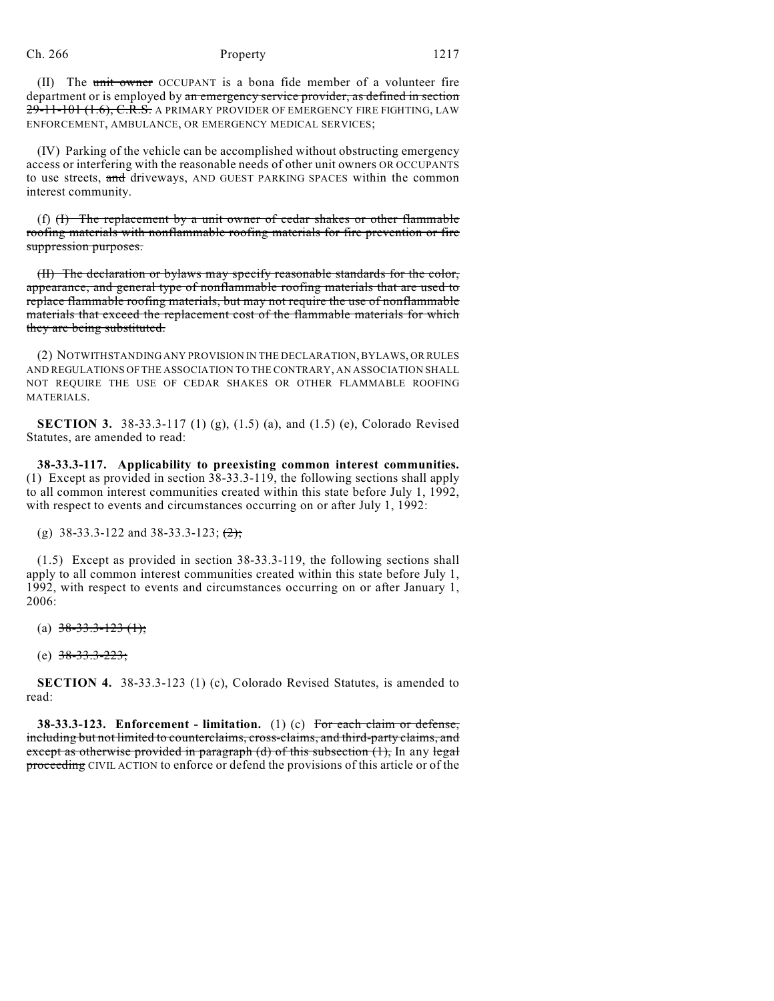## Ch. 266 **Property** 1217

(II) The unit owner OCCUPANT is a bona fide member of a volunteer fire department or is employed by an emergency service provider, as defined in section 29-11-101 (1.6), C.R.S. A PRIMARY PROVIDER OF EMERGENCY FIRE FIGHTING, LAW ENFORCEMENT, AMBULANCE, OR EMERGENCY MEDICAL SERVICES;

(IV) Parking of the vehicle can be accomplished without obstructing emergency access or interfering with the reasonable needs of other unit owners OR OCCUPANTS to use streets, and driveways, AND GUEST PARKING SPACES within the common interest community.

(f)  $(H)$  The replacement by a unit owner of cedar shakes or other flammable roofing materials with nonflammable roofing materials for fire prevention or fire suppression purposes.

(II) The declaration or bylaws may specify reasonable standards for the color, appearance, and general type of nonflammable roofing materials that are used to replace flammable roofing materials, but may not require the use of nonflammable materials that exceed the replacement cost of the flammable materials for which they are being substituted.

(2) NOTWITHSTANDING ANY PROVISION IN THE DECLARATION, BYLAWS, OR RULES AND REGULATIONS OF THE ASSOCIATION TO THE CONTRARY, AN ASSOCIATION SHALL NOT REQUIRE THE USE OF CEDAR SHAKES OR OTHER FLAMMABLE ROOFING MATERIALS.

**SECTION 3.** 38-33.3-117 (1) (g), (1.5) (a), and (1.5) (e), Colorado Revised Statutes, are amended to read:

**38-33.3-117. Applicability to preexisting common interest communities.** (1) Except as provided in section 38-33.3-119, the following sections shall apply to all common interest communities created within this state before July 1, 1992, with respect to events and circumstances occurring on or after July 1, 1992:

(g) 38-33.3-122 and 38-33.3-123;  $\left(\frac{2}{7}\right)$ ;

(1.5) Except as provided in section 38-33.3-119, the following sections shall apply to all common interest communities created within this state before July 1, 1992, with respect to events and circumstances occurring on or after January 1, 2006:

(a)  $38-33.3-123$  (1);

(e)  $38-33.3-223$ ;

**SECTION 4.** 38-33.3-123 (1) (c), Colorado Revised Statutes, is amended to read:

**38-33.3-123. Enforcement - limitation.** (1) (c) For each claim or defense, including but not limited to counterclaims, cross-claims, and third-party claims, and except as otherwise provided in paragraph  $(d)$  of this subsection  $(1)$ , In any legal proceeding CIVIL ACTION to enforce or defend the provisions of this article or of the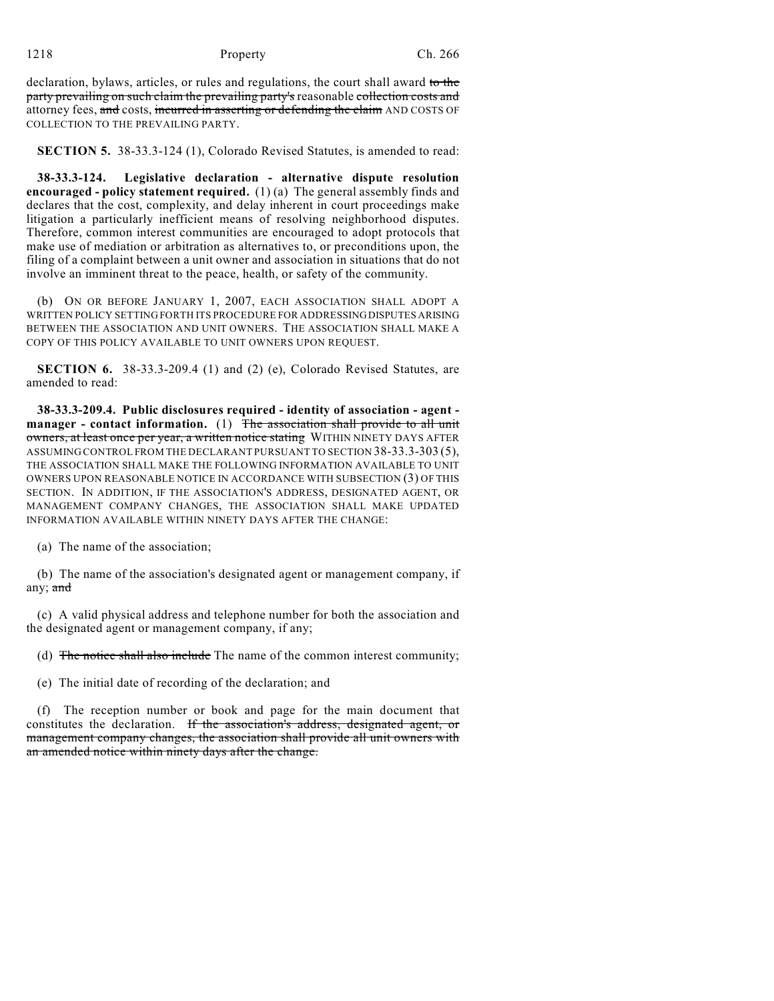declaration, bylaws, articles, or rules and regulations, the court shall award to the party prevailing on such claim the prevailing party's reasonable collection costs and attorney fees, and costs, incurred in asserting or defending the claim AND COSTS OF COLLECTION TO THE PREVAILING PARTY.

**SECTION 5.** 38-33.3-124 (1), Colorado Revised Statutes, is amended to read:

**38-33.3-124. Legislative declaration - alternative dispute resolution encouraged - policy statement required.** (1) (a) The general assembly finds and declares that the cost, complexity, and delay inherent in court proceedings make litigation a particularly inefficient means of resolving neighborhood disputes. Therefore, common interest communities are encouraged to adopt protocols that make use of mediation or arbitration as alternatives to, or preconditions upon, the filing of a complaint between a unit owner and association in situations that do not involve an imminent threat to the peace, health, or safety of the community.

(b) ON OR BEFORE JANUARY 1, 2007, EACH ASSOCIATION SHALL ADOPT A WRITTEN POLICY SETTING FORTH ITS PROCEDURE FOR ADDRESSING DISPUTES ARISING BETWEEN THE ASSOCIATION AND UNIT OWNERS. THE ASSOCIATION SHALL MAKE A COPY OF THIS POLICY AVAILABLE TO UNIT OWNERS UPON REQUEST.

**SECTION 6.** 38-33.3-209.4 (1) and (2) (e), Colorado Revised Statutes, are amended to read:

**38-33.3-209.4. Public disclosures required - identity of association - agent manager - contact information.** (1) The association shall provide to all unit owners, at least once per year, a written notice stating WITHIN NINETY DAYS AFTER ASSUMING CONTROL FROM THE DECLARANT PURSUANT TO SECTION 38-33.3-303 (5), THE ASSOCIATION SHALL MAKE THE FOLLOWING INFORMATION AVAILABLE TO UNIT OWNERS UPON REASONABLE NOTICE IN ACCORDANCE WITH SUBSECTION (3) OF THIS SECTION. IN ADDITION, IF THE ASSOCIATION'S ADDRESS, DESIGNATED AGENT, OR MANAGEMENT COMPANY CHANGES, THE ASSOCIATION SHALL MAKE UPDATED INFORMATION AVAILABLE WITHIN NINETY DAYS AFTER THE CHANGE:

(a) The name of the association;

(b) The name of the association's designated agent or management company, if any; and

(c) A valid physical address and telephone number for both the association and the designated agent or management company, if any;

(d) The notice shall also include The name of the common interest community;

(e) The initial date of recording of the declaration; and

(f) The reception number or book and page for the main document that constitutes the declaration. If the association's address, designated agent, or management company changes, the association shall provide all unit owners with an amended notice within ninety days after the change.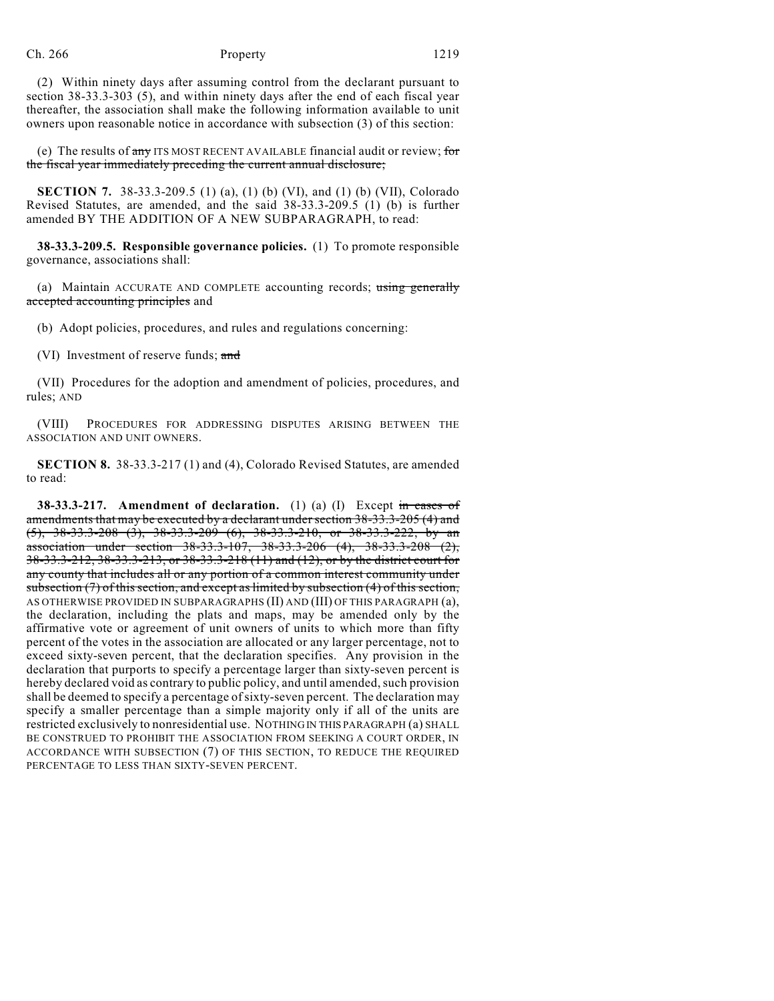### Ch. 266 Property 1219

(2) Within ninety days after assuming control from the declarant pursuant to section 38-33.3-303 (5), and within ninety days after the end of each fiscal year thereafter, the association shall make the following information available to unit owners upon reasonable notice in accordance with subsection (3) of this section:

(e) The results of any ITS MOST RECENT AVAILABLE financial audit or review; for the fiscal year immediately preceding the current annual disclosure;

**SECTION 7.** 38-33.3-209.5 (1) (a), (1) (b) (VI), and (1) (b) (VII), Colorado Revised Statutes, are amended, and the said 38-33.3-209.5 (1) (b) is further amended BY THE ADDITION OF A NEW SUBPARAGRAPH, to read:

**38-33.3-209.5. Responsible governance policies.** (1) To promote responsible governance, associations shall:

(a) Maintain ACCURATE AND COMPLETE accounting records; using generally accepted accounting principles and

(b) Adopt policies, procedures, and rules and regulations concerning:

(VI) Investment of reserve funds; and

(VII) Procedures for the adoption and amendment of policies, procedures, and rules; AND

(VIII) PROCEDURES FOR ADDRESSING DISPUTES ARISING BETWEEN THE ASSOCIATION AND UNIT OWNERS.

**SECTION 8.** 38-33.3-217 (1) and (4), Colorado Revised Statutes, are amended to read:

**38-33.3-217.** Amendment of declaration. (1) (a) (I) Except in cases of amendments that may be executed by a declarant under section 38-33.3-205 (4) and (5), 38-33.3-208 (3), 38-33.3-209 (6), 38-33.3-210, or 38-33.3-222, by an association under section 38-33.3-107, 38-33.3-206 (4), 38-33.3-208 (2), 38-33.3-212, 38-33.3-213, or 38-33.3-218 (11) and (12), or by the district court for any county that includes all or any portion of a common interest community under subsection  $(7)$  of this section, and except as limited by subsection  $(4)$  of this section, AS OTHERWISE PROVIDED IN SUBPARAGRAPHS (II) AND (III) OF THIS PARAGRAPH (a), the declaration, including the plats and maps, may be amended only by the affirmative vote or agreement of unit owners of units to which more than fifty percent of the votes in the association are allocated or any larger percentage, not to exceed sixty-seven percent, that the declaration specifies. Any provision in the declaration that purports to specify a percentage larger than sixty-seven percent is hereby declared void as contrary to public policy, and until amended, such provision shall be deemed to specify a percentage of sixty-seven percent. The declaration may specify a smaller percentage than a simple majority only if all of the units are restricted exclusively to nonresidential use. NOTHING IN THIS PARAGRAPH (a) SHALL BE CONSTRUED TO PROHIBIT THE ASSOCIATION FROM SEEKING A COURT ORDER, IN ACCORDANCE WITH SUBSECTION (7) OF THIS SECTION, TO REDUCE THE REQUIRED PERCENTAGE TO LESS THAN SIXTY-SEVEN PERCENT.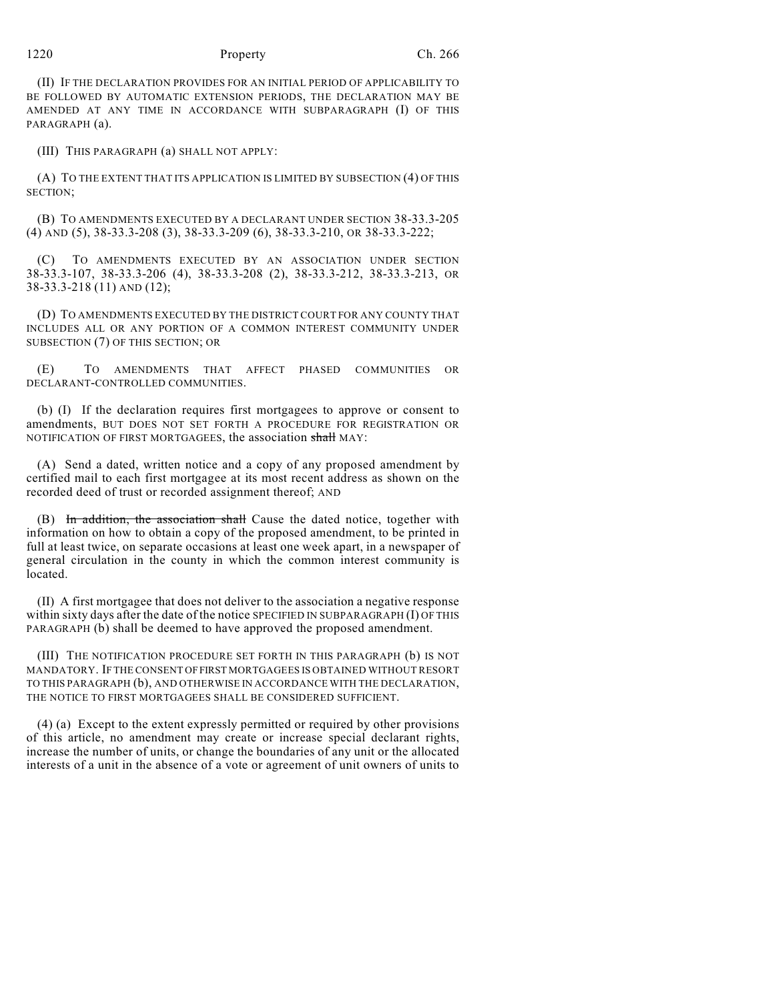(II) IF THE DECLARATION PROVIDES FOR AN INITIAL PERIOD OF APPLICABILITY TO BE FOLLOWED BY AUTOMATIC EXTENSION PERIODS, THE DECLARATION MAY BE AMENDED AT ANY TIME IN ACCORDANCE WITH SUBPARAGRAPH (I) OF THIS PARAGRAPH (a).

(III) THIS PARAGRAPH (a) SHALL NOT APPLY:

(A) TO THE EXTENT THAT ITS APPLICATION IS LIMITED BY SUBSECTION (4) OF THIS SECTION;

(B) TO AMENDMENTS EXECUTED BY A DECLARANT UNDER SECTION 38-33.3-205 (4) AND (5), 38-33.3-208 (3), 38-33.3-209 (6), 38-33.3-210, OR 38-33.3-222;

(C) TO AMENDMENTS EXECUTED BY AN ASSOCIATION UNDER SECTION 38-33.3-107, 38-33.3-206 (4), 38-33.3-208 (2), 38-33.3-212, 38-33.3-213, OR 38-33.3-218 (11) AND (12);

(D) TO AMENDMENTS EXECUTED BY THE DISTRICT COURT FOR ANY COUNTY THAT INCLUDES ALL OR ANY PORTION OF A COMMON INTEREST COMMUNITY UNDER SUBSECTION (7) OF THIS SECTION; OR

(E) TO AMENDMENTS THAT AFFECT PHASED COMMUNITIES OR DECLARANT-CONTROLLED COMMUNITIES.

(b) (I) If the declaration requires first mortgagees to approve or consent to amendments, BUT DOES NOT SET FORTH A PROCEDURE FOR REGISTRATION OR NOTIFICATION OF FIRST MORTGAGEES, the association shall MAY:

(A) Send a dated, written notice and a copy of any proposed amendment by certified mail to each first mortgagee at its most recent address as shown on the recorded deed of trust or recorded assignment thereof; AND

(B) In addition, the association shall Cause the dated notice, together with information on how to obtain a copy of the proposed amendment, to be printed in full at least twice, on separate occasions at least one week apart, in a newspaper of general circulation in the county in which the common interest community is located.

(II) A first mortgagee that does not deliver to the association a negative response within sixty days after the date of the notice SPECIFIED IN SUBPARAGRAPH (I) OF THIS PARAGRAPH (b) shall be deemed to have approved the proposed amendment.

(III) THE NOTIFICATION PROCEDURE SET FORTH IN THIS PARAGRAPH (b) IS NOT MANDATORY. IF THE CONSENT OF FIRST MORTGAGEES IS OBTAINED WITHOUT RESORT TO THIS PARAGRAPH (b), AND OTHERWISE IN ACCORDANCE WITH THE DECLARATION, THE NOTICE TO FIRST MORTGAGEES SHALL BE CONSIDERED SUFFICIENT.

(4) (a) Except to the extent expressly permitted or required by other provisions of this article, no amendment may create or increase special declarant rights, increase the number of units, or change the boundaries of any unit or the allocated interests of a unit in the absence of a vote or agreement of unit owners of units to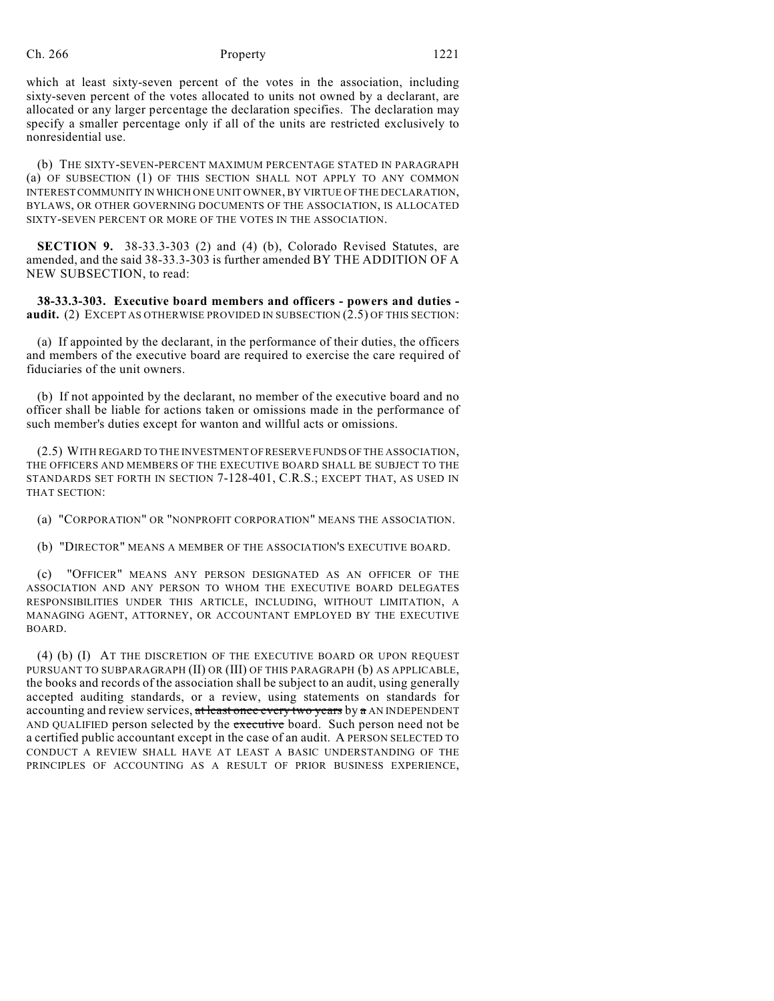## Ch. 266 Property 1221

which at least sixty-seven percent of the votes in the association, including sixty-seven percent of the votes allocated to units not owned by a declarant, are allocated or any larger percentage the declaration specifies. The declaration may specify a smaller percentage only if all of the units are restricted exclusively to nonresidential use.

(b) THE SIXTY-SEVEN-PERCENT MAXIMUM PERCENTAGE STATED IN PARAGRAPH (a) OF SUBSECTION (1) OF THIS SECTION SHALL NOT APPLY TO ANY COMMON INTEREST COMMUNITY IN WHICH ONE UNIT OWNER, BY VIRTUE OF THE DECLARATION, BYLAWS, OR OTHER GOVERNING DOCUMENTS OF THE ASSOCIATION, IS ALLOCATED SIXTY-SEVEN PERCENT OR MORE OF THE VOTES IN THE ASSOCIATION.

**SECTION 9.** 38-33.3-303 (2) and (4) (b), Colorado Revised Statutes, are amended, and the said 38-33.3-303 is further amended BY THE ADDITION OF A NEW SUBSECTION, to read:

**38-33.3-303. Executive board members and officers - powers and duties audit.** (2) EXCEPT AS OTHERWISE PROVIDED IN SUBSECTION (2.5) OF THIS SECTION:

(a) If appointed by the declarant, in the performance of their duties, the officers and members of the executive board are required to exercise the care required of fiduciaries of the unit owners.

(b) If not appointed by the declarant, no member of the executive board and no officer shall be liable for actions taken or omissions made in the performance of such member's duties except for wanton and willful acts or omissions.

(2.5) WITH REGARD TO THE INVESTMENT OF RESERVE FUNDS OF THE ASSOCIATION, THE OFFICERS AND MEMBERS OF THE EXECUTIVE BOARD SHALL BE SUBJECT TO THE STANDARDS SET FORTH IN SECTION 7-128-401, C.R.S.; EXCEPT THAT, AS USED IN THAT SECTION:

(a) "CORPORATION" OR "NONPROFIT CORPORATION" MEANS THE ASSOCIATION.

(b) "DIRECTOR" MEANS A MEMBER OF THE ASSOCIATION'S EXECUTIVE BOARD.

(c) "OFFICER" MEANS ANY PERSON DESIGNATED AS AN OFFICER OF THE ASSOCIATION AND ANY PERSON TO WHOM THE EXECUTIVE BOARD DELEGATES RESPONSIBILITIES UNDER THIS ARTICLE, INCLUDING, WITHOUT LIMITATION, A MANAGING AGENT, ATTORNEY, OR ACCOUNTANT EMPLOYED BY THE EXECUTIVE BOARD.

(4) (b) (I) AT THE DISCRETION OF THE EXECUTIVE BOARD OR UPON REQUEST PURSUANT TO SUBPARAGRAPH (II) OR (III) OF THIS PARAGRAPH (b) AS APPLICABLE, the books and records of the association shall be subject to an audit, using generally accepted auditing standards, or a review, using statements on standards for accounting and review services, at least once every two years by a AN INDEPENDENT AND QUALIFIED person selected by the executive board. Such person need not be a certified public accountant except in the case of an audit. A PERSON SELECTED TO CONDUCT A REVIEW SHALL HAVE AT LEAST A BASIC UNDERSTANDING OF THE PRINCIPLES OF ACCOUNTING AS A RESULT OF PRIOR BUSINESS EXPERIENCE,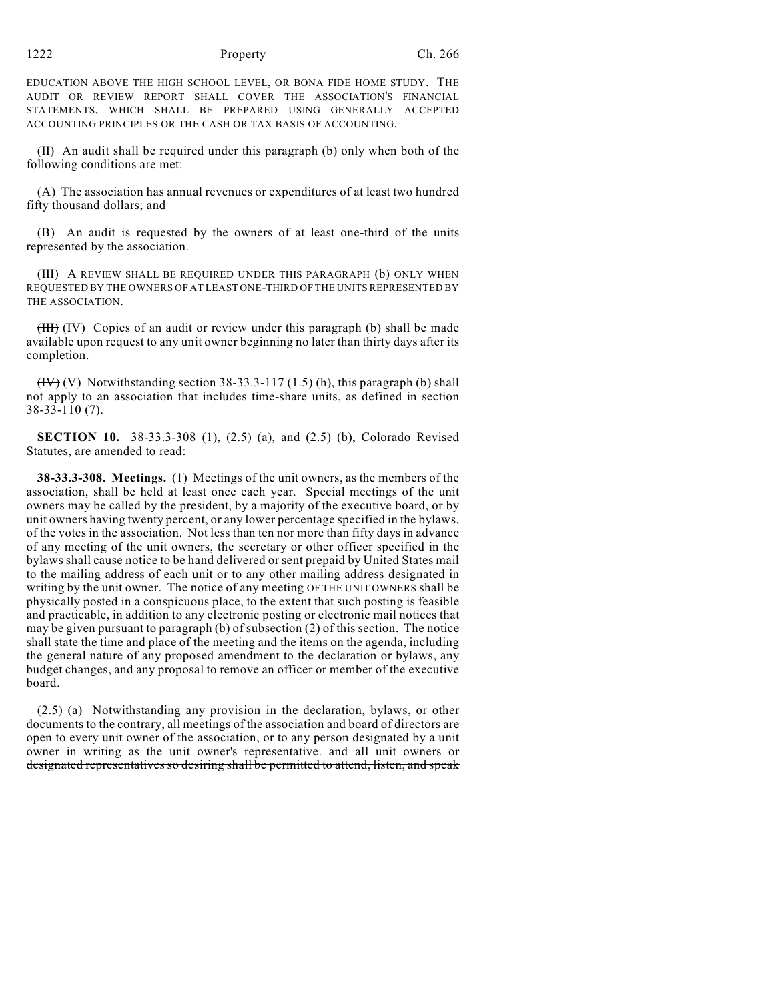EDUCATION ABOVE THE HIGH SCHOOL LEVEL, OR BONA FIDE HOME STUDY. THE AUDIT OR REVIEW REPORT SHALL COVER THE ASSOCIATION'S FINANCIAL STATEMENTS, WHICH SHALL BE PREPARED USING GENERALLY ACCEPTED ACCOUNTING PRINCIPLES OR THE CASH OR TAX BASIS OF ACCOUNTING.

(II) An audit shall be required under this paragraph (b) only when both of the following conditions are met:

(A) The association has annual revenues or expenditures of at least two hundred fifty thousand dollars; and

(B) An audit is requested by the owners of at least one-third of the units represented by the association.

(III) A REVIEW SHALL BE REQUIRED UNDER THIS PARAGRAPH (b) ONLY WHEN REQUESTED BY THE OWNERS OF AT LEAST ONE-THIRD OF THE UNITS REPRESENTED BY THE ASSOCIATION.

(III) (IV) Copies of an audit or review under this paragraph (b) shall be made available upon request to any unit owner beginning no later than thirty days after its completion.

 $(HV)$  (V) Notwithstanding section 38-33.3-117 (1.5) (h), this paragraph (b) shall not apply to an association that includes time-share units, as defined in section 38-33-110 (7).

**SECTION 10.** 38-33.3-308 (1), (2.5) (a), and (2.5) (b), Colorado Revised Statutes, are amended to read:

**38-33.3-308. Meetings.** (1) Meetings of the unit owners, as the members of the association, shall be held at least once each year. Special meetings of the unit owners may be called by the president, by a majority of the executive board, or by unit owners having twenty percent, or any lower percentage specified in the bylaws, of the votes in the association. Not less than ten nor more than fifty days in advance of any meeting of the unit owners, the secretary or other officer specified in the bylaws shall cause notice to be hand delivered or sent prepaid by United States mail to the mailing address of each unit or to any other mailing address designated in writing by the unit owner. The notice of any meeting OF THE UNIT OWNERS shall be physically posted in a conspicuous place, to the extent that such posting is feasible and practicable, in addition to any electronic posting or electronic mail notices that may be given pursuant to paragraph (b) of subsection (2) of this section. The notice shall state the time and place of the meeting and the items on the agenda, including the general nature of any proposed amendment to the declaration or bylaws, any budget changes, and any proposal to remove an officer or member of the executive board.

(2.5) (a) Notwithstanding any provision in the declaration, bylaws, or other documents to the contrary, all meetings of the association and board of directors are open to every unit owner of the association, or to any person designated by a unit owner in writing as the unit owner's representative. and all unit owners or designated representatives so desiring shall be permitted to attend, listen, and speak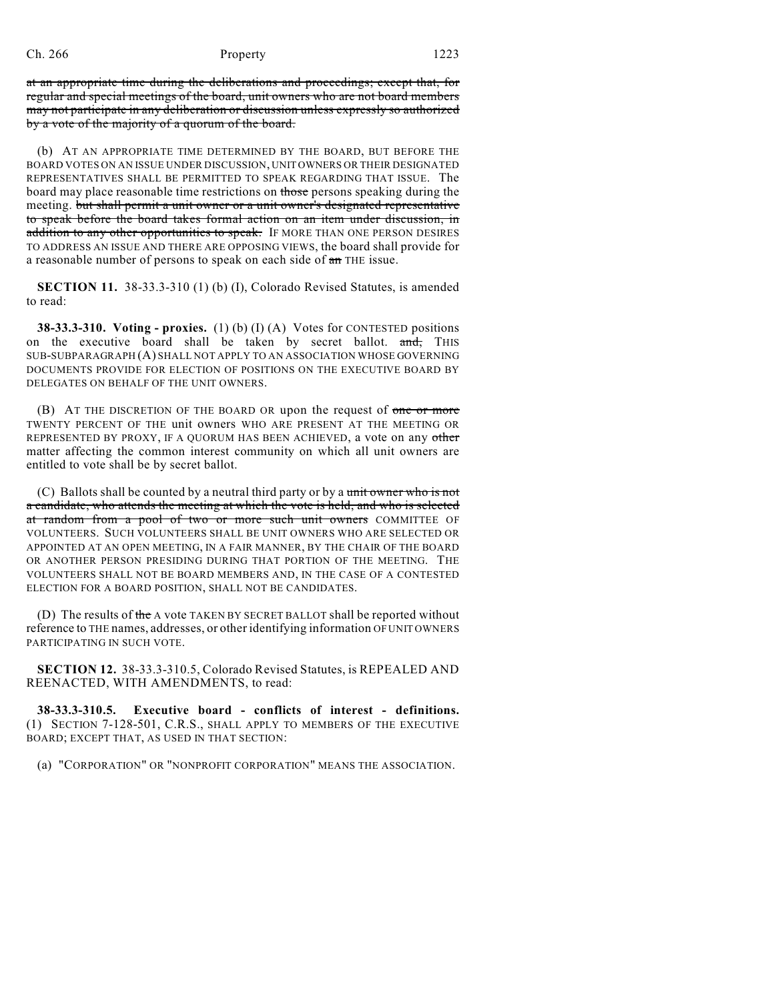at an appropriate time during the deliberations and proceedings; except that, for regular and special meetings of the board, unit owners who are not board members may not participate in any deliberation or discussion unless expressly so authorized by a vote of the majority of a quorum of the board.

(b) AT AN APPROPRIATE TIME DETERMINED BY THE BOARD, BUT BEFORE THE BOARD VOTES ON AN ISSUE UNDER DISCUSSION, UNIT OWNERS OR THEIR DESIGNATED REPRESENTATIVES SHALL BE PERMITTED TO SPEAK REGARDING THAT ISSUE. The board may place reasonable time restrictions on those persons speaking during the meeting. but shall permit a unit owner or a unit owner's designated representative to speak before the board takes formal action on an item under discussion, in addition to any other opportunities to speak. If MORE THAN ONE PERSON DESIRES TO ADDRESS AN ISSUE AND THERE ARE OPPOSING VIEWS, the board shall provide for a reasonable number of persons to speak on each side of an THE issue.

**SECTION 11.** 38-33.3-310 (1) (b) (I), Colorado Revised Statutes, is amended to read:

**38-33.3-310. Voting - proxies.** (1) (b) (I) (A) Votes for CONTESTED positions on the executive board shall be taken by secret ballot. and, THIS SUB-SUBPARAGRAPH (A) SHALL NOT APPLY TO AN ASSOCIATION WHOSE GOVERNING DOCUMENTS PROVIDE FOR ELECTION OF POSITIONS ON THE EXECUTIVE BOARD BY DELEGATES ON BEHALF OF THE UNIT OWNERS.

(B) AT THE DISCRETION OF THE BOARD OR upon the request of one or more TWENTY PERCENT OF THE unit owners WHO ARE PRESENT AT THE MEETING OR REPRESENTED BY PROXY, IF A QUORUM HAS BEEN ACHIEVED, a vote on any other matter affecting the common interest community on which all unit owners are entitled to vote shall be by secret ballot.

(C) Ballots shall be counted by a neutral third party or by a unit owner who is not a candidate, who attends the meeting at which the vote is held, and who is selected at random from a pool of two or more such unit owners COMMITTEE OF VOLUNTEERS. SUCH VOLUNTEERS SHALL BE UNIT OWNERS WHO ARE SELECTED OR APPOINTED AT AN OPEN MEETING, IN A FAIR MANNER, BY THE CHAIR OF THE BOARD OR ANOTHER PERSON PRESIDING DURING THAT PORTION OF THE MEETING. THE VOLUNTEERS SHALL NOT BE BOARD MEMBERS AND, IN THE CASE OF A CONTESTED ELECTION FOR A BOARD POSITION, SHALL NOT BE CANDIDATES.

(D) The results of the A vote TAKEN BY SECRET BALLOT shall be reported without reference to THE names, addresses, or other identifying information OF UNIT OWNERS PARTICIPATING IN SUCH VOTE.

**SECTION 12.** 38-33.3-310.5, Colorado Revised Statutes, is REPEALED AND REENACTED, WITH AMENDMENTS, to read:

**38-33.3-310.5. Executive board - conflicts of interest - definitions.** (1) SECTION 7-128-501, C.R.S., SHALL APPLY TO MEMBERS OF THE EXECUTIVE BOARD; EXCEPT THAT, AS USED IN THAT SECTION:

(a) "CORPORATION" OR "NONPROFIT CORPORATION" MEANS THE ASSOCIATION.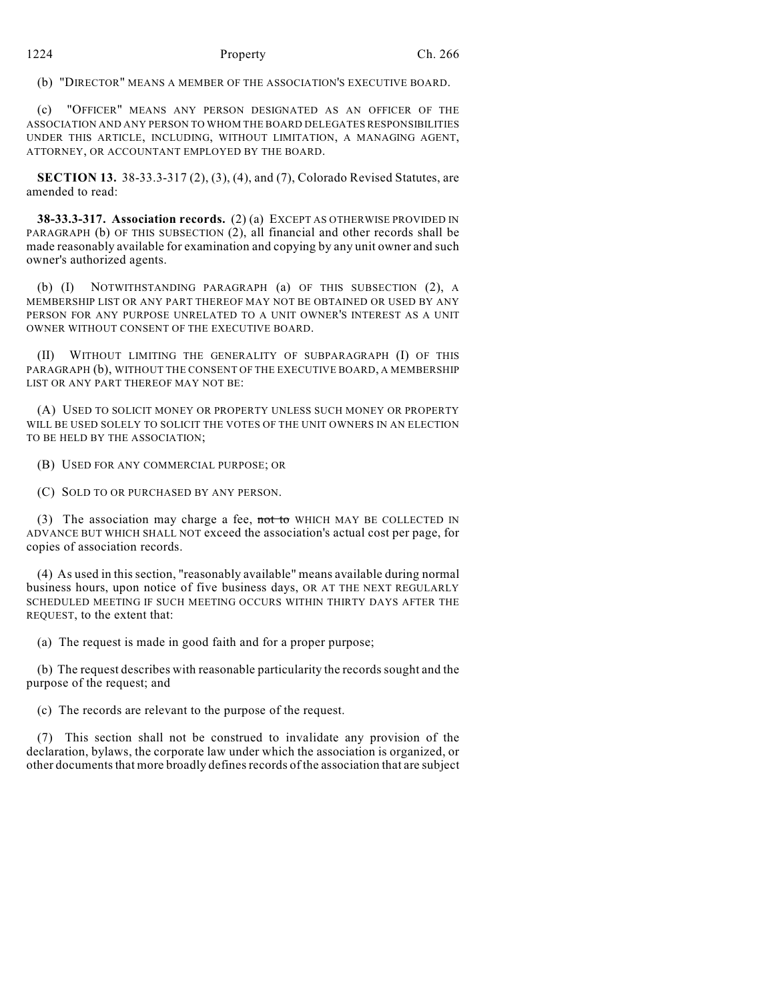(b) "DIRECTOR" MEANS A MEMBER OF THE ASSOCIATION'S EXECUTIVE BOARD.

(c) "OFFICER" MEANS ANY PERSON DESIGNATED AS AN OFFICER OF THE ASSOCIATION AND ANY PERSON TO WHOM THE BOARD DELEGATES RESPONSIBILITIES UNDER THIS ARTICLE, INCLUDING, WITHOUT LIMITATION, A MANAGING AGENT, ATTORNEY, OR ACCOUNTANT EMPLOYED BY THE BOARD.

**SECTION 13.** 38-33.3-317 (2), (3), (4), and (7), Colorado Revised Statutes, are amended to read:

**38-33.3-317. Association records.** (2) (a) EXCEPT AS OTHERWISE PROVIDED IN PARAGRAPH (b) OF THIS SUBSECTION (2), all financial and other records shall be made reasonably available for examination and copying by any unit owner and such owner's authorized agents.

(b) (I) NOTWITHSTANDING PARAGRAPH (a) OF THIS SUBSECTION (2), A MEMBERSHIP LIST OR ANY PART THEREOF MAY NOT BE OBTAINED OR USED BY ANY PERSON FOR ANY PURPOSE UNRELATED TO A UNIT OWNER'S INTEREST AS A UNIT OWNER WITHOUT CONSENT OF THE EXECUTIVE BOARD.

(II) WITHOUT LIMITING THE GENERALITY OF SUBPARAGRAPH (I) OF THIS PARAGRAPH (b), WITHOUT THE CONSENT OF THE EXECUTIVE BOARD, A MEMBERSHIP LIST OR ANY PART THEREOF MAY NOT BE:

(A) USED TO SOLICIT MONEY OR PROPERTY UNLESS SUCH MONEY OR PROPERTY WILL BE USED SOLELY TO SOLICIT THE VOTES OF THE UNIT OWNERS IN AN ELECTION TO BE HELD BY THE ASSOCIATION;

(B) USED FOR ANY COMMERCIAL PURPOSE; OR

(C) SOLD TO OR PURCHASED BY ANY PERSON.

(3) The association may charge a fee,  $not to$  WHICH MAY BE COLLECTED IN ADVANCE BUT WHICH SHALL NOT exceed the association's actual cost per page, for copies of association records.

(4) As used in this section, "reasonably available" means available during normal business hours, upon notice of five business days, OR AT THE NEXT REGULARLY SCHEDULED MEETING IF SUCH MEETING OCCURS WITHIN THIRTY DAYS AFTER THE REQUEST, to the extent that:

(a) The request is made in good faith and for a proper purpose;

(b) The request describes with reasonable particularity the records sought and the purpose of the request; and

(c) The records are relevant to the purpose of the request.

(7) This section shall not be construed to invalidate any provision of the declaration, bylaws, the corporate law under which the association is organized, or other documents that more broadly defines records of the association that are subject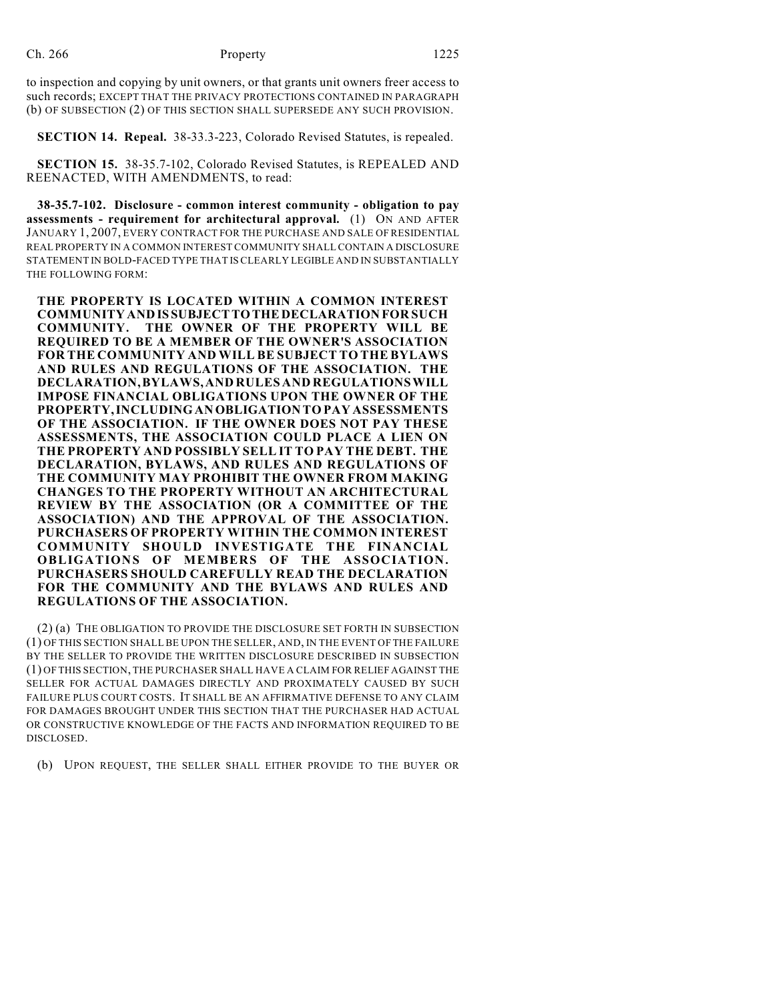to inspection and copying by unit owners, or that grants unit owners freer access to such records; EXCEPT THAT THE PRIVACY PROTECTIONS CONTAINED IN PARAGRAPH (b) OF SUBSECTION (2) OF THIS SECTION SHALL SUPERSEDE ANY SUCH PROVISION.

**SECTION 14. Repeal.** 38-33.3-223, Colorado Revised Statutes, is repealed.

**SECTION 15.** 38-35.7-102, Colorado Revised Statutes, is REPEALED AND REENACTED, WITH AMENDMENTS, to read:

**38-35.7-102. Disclosure - common interest community - obligation to pay assessments - requirement for architectural approval.** (1) ON AND AFTER JANUARY 1, 2007, EVERY CONTRACT FOR THE PURCHASE AND SALE OF RESIDENTIAL REAL PROPERTY IN A COMMON INTEREST COMMUNITY SHALL CONTAIN A DISCLOSURE STATEMENT IN BOLD-FACED TYPE THAT IS CLEARLY LEGIBLE AND IN SUBSTANTIALLY THE FOLLOWING FORM:

**THE PROPERTY IS LOCATED WITHIN A COMMON INTEREST COMMUNITY AND IS SUBJECTTOTHE DECLARATION FOR SUCH COMMUNITY. THE OWNER OF THE PROPERTY WILL BE REQUIRED TO BE A MEMBER OF THE OWNER'S ASSOCIATION FOR THE COMMUNITY AND WILL BE SUBJECT TO THE BYLAWS AND RULES AND REGULATIONS OF THE ASSOCIATION. THE DECLARATION,BYLAWS,AND RULES AND REGULATIONSWILL IMPOSE FINANCIAL OBLIGATIONS UPON THE OWNER OF THE PROPERTY,INCLUDINGANOBLIGATION TO PAY ASSESSMENTS OF THE ASSOCIATION. IF THE OWNER DOES NOT PAY THESE ASSESSMENTS, THE ASSOCIATION COULD PLACE A LIEN ON THE PROPERTY AND POSSIBLY SELL IT TO PAY THE DEBT. THE DECLARATION, BYLAWS, AND RULES AND REGULATIONS OF THE COMMUNITY MAY PROHIBIT THE OWNER FROM MAKING CHANGES TO THE PROPERTY WITHOUT AN ARCHITECTURAL REVIEW BY THE ASSOCIATION (OR A COMMITTEE OF THE ASSOCIATION) AND THE APPROVAL OF THE ASSOCIATION. PURCHASERS OF PROPERTY WITHIN THE COMMON INTEREST COMMUNITY SHOULD INVESTIGATE THE FINANCIAL OBLIGATIONS OF MEMBERS OF THE ASSOCIATION. PURCHASERS SHOULD CAREFULLY READ THE DECLARATION FOR THE COMMUNITY AND THE BYLAWS AND RULES AND REGULATIONS OF THE ASSOCIATION.**

(2) (a) THE OBLIGATION TO PROVIDE THE DISCLOSURE SET FORTH IN SUBSECTION (1) OF THIS SECTION SHALL BE UPON THE SELLER, AND, IN THE EVENT OF THE FAILURE BY THE SELLER TO PROVIDE THE WRITTEN DISCLOSURE DESCRIBED IN SUBSECTION (1) OF THIS SECTION, THE PURCHASER SHALL HAVE A CLAIM FOR RELIEF AGAINST THE SELLER FOR ACTUAL DAMAGES DIRECTLY AND PROXIMATELY CAUSED BY SUCH FAILURE PLUS COURT COSTS. IT SHALL BE AN AFFIRMATIVE DEFENSE TO ANY CLAIM FOR DAMAGES BROUGHT UNDER THIS SECTION THAT THE PURCHASER HAD ACTUAL OR CONSTRUCTIVE KNOWLEDGE OF THE FACTS AND INFORMATION REQUIRED TO BE DISCLOSED.

(b) UPON REQUEST, THE SELLER SHALL EITHER PROVIDE TO THE BUYER OR